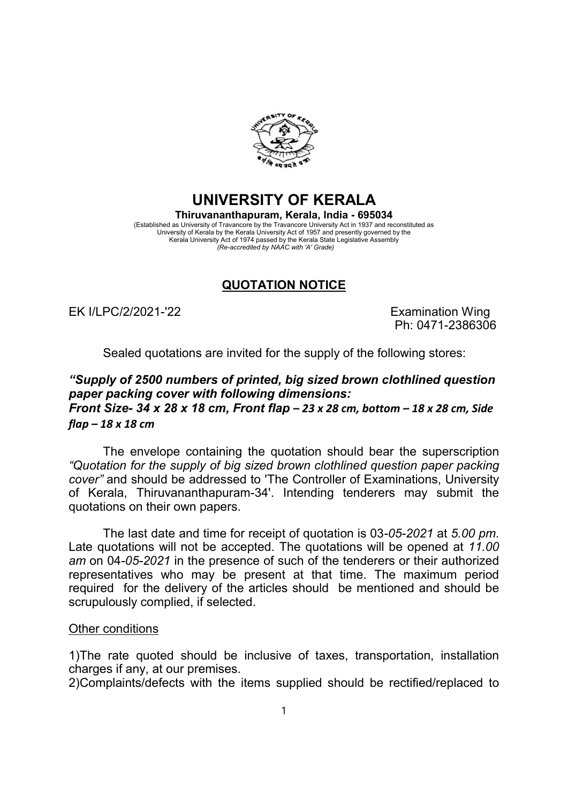

## UNIVERSITY OF KERALA Thiruvananthapuram, Kerala, India - 695034 (Established as University of Travancore by the Travancore University Act in 1937 and reconstituted as

University of Kerala by the Kerala University Act of 1957 and presently governed by the Kerala University Act of 1974 passed by the Kerala State Legislative Assembly (Re-accredited by NAAC with 'A' Grade)

## QUOTATION NOTICE

EK I/LPC/2/2021-'22 Examination Wing

flap – 18 x 18 cm

Ph: 0471-2386306

Sealed quotations are invited for the supply of the following stores:

## "Supply of 2500 numbers of printed, big sized brown clothlined question paper packing cover with following dimensions: Front Size- 34 x 28 x 18 cm, Front flap  $-$  23 x 28 cm, bottom  $-$  18 x 28 cm, Side

The envelope containing the quotation should bear the superscription "Quotation for the supply of big sized brown clothlined question paper packing cover" and should be addressed to 'The Controller of Examinations, University of Kerala, Thiruvananthapuram-34'. Intending tenderers may submit the quotations on their own papers.

The last date and time for receipt of quotation is 03-05-2021 at 5.00 pm. Late quotations will not be accepted. The quotations will be opened at 11.00 am on 04-05-2021 in the presence of such of the tenderers or their authorized representatives who may be present at that time. The maximum period required for the delivery of the articles should be mentioned and should be scrupulously complied, if selected.

## Other conditions

1)The rate quoted should be inclusive of taxes, transportation, installation charges if any, at our premises.

2)Complaints/defects with the items supplied should be rectified/replaced to